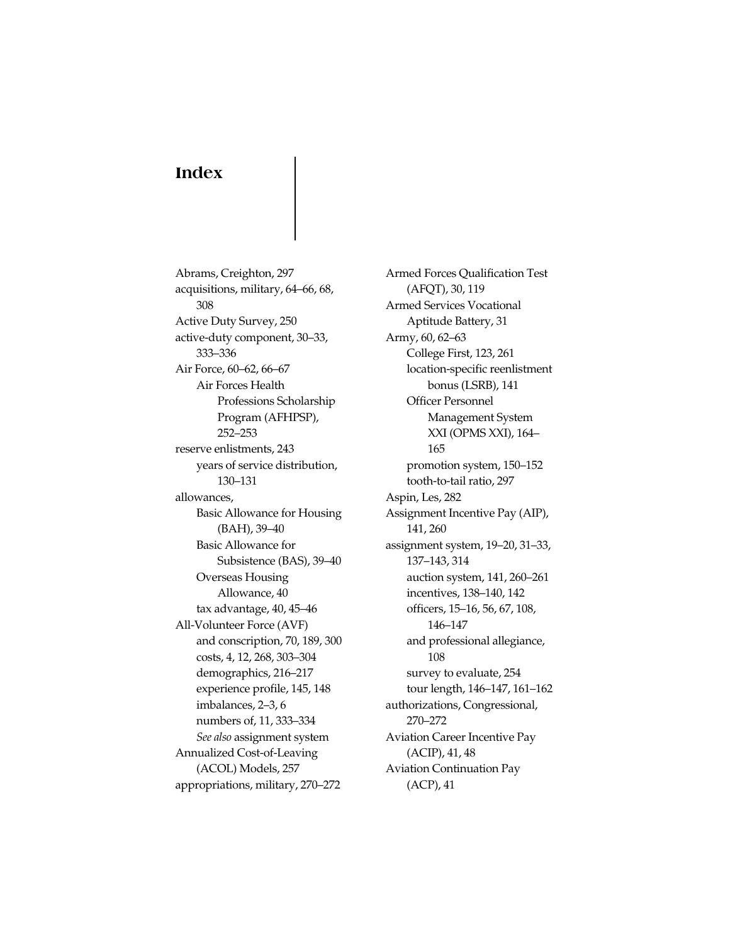## **Index**

Abrams, Creighton, 297 acquisitions, military, 64–66, 68, 308 Active Duty Survey, 250 active-duty component, 30–33, 333–336 Air Force, 60–62, 66–67 Air Forces Health Professions Scholarship Program (AFHPSP), 252–253 reserve enlistments, 243 years of service distribution, 130–131 allowances, Basic Allowance for Housing (BAH), 39–40 Basic Allowance for Subsistence (BAS), 39–40 Overseas Housing Allowance, 40 tax advantage, 40, 45–46 All-Volunteer Force (AVF) and conscription, 70, 189, 300 costs, 4, 12, 268, 303–304 demographics, 216–217 experience profile, 145, 148 imbalances, 2–3, 6 numbers of, 11, 333–334 *See also* assignment system Annualized Cost-of-Leaving (ACOL) Models, 257 appropriations, military, 270–272

Armed Forces Qualification Test (AFQT), 30, 119 Armed Services Vocational Aptitude Battery, 31 Army, 60, 62–63 College First, 123, 261 location-specific reenlistment bonus (LSRB), 141 Officer Personnel Management System XXI (OPMS XXI), 164– 165 promotion system, 150–152 tooth-to-tail ratio, 297 Aspin, Les, 282 Assignment Incentive Pay (AIP), 141, 260 [assignment system, 19–20, 31–33,](#page--1-0)  137–143, 314 auction system, 141, 260–261 incentives, 138–140, 142 officers, 15–16, 56, 67, 108, 146–147 and professional allegiance, 108 survey to evaluate, 254 tour length, 146–147, 161–162 authorizations, Congressional, 270–272 Aviation Career Incentive Pay (ACIP), 41, 48 Aviation Continuation Pay (ACP), 41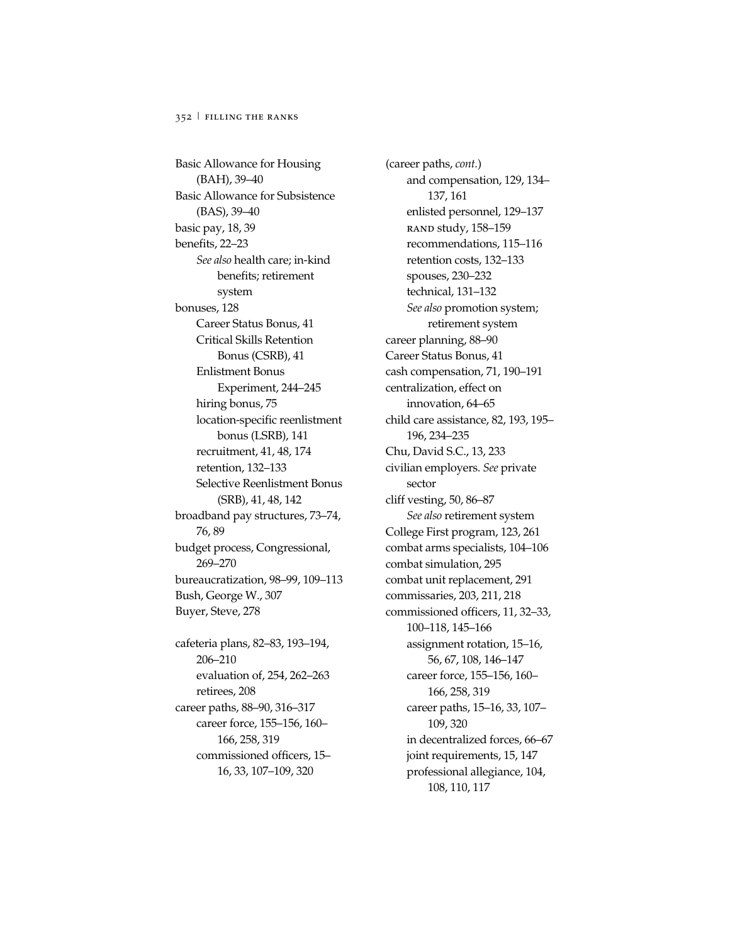## $352$  FILLING THE RANKS

Basic Allowance for Housing (BAH), 39–40 Basic Allowance for Subsistence (BAS), 39–40 basic pay, 18, 39 benefits, 22–23 *See also* health care; in-kind benefits; retirement system bonuses, 128 Career Status Bonus, 41 Critical Skills Retention Bonus (CSRB), 41 Enlistment Bonus Experiment, 244–245 hiring bonus, 75 location-specific reenlistment bonus (LSRB), 141 recruitment, 41, 48, 174 retention, 132–133 Selective Reenlistment Bonus (SRB), 41, 48, 142 broadband pay structures, 73–74, 76, 89 budget process, Congressional, 269–270 bureaucratization, 98–99, 109–113 Bush, George W., 307 Buyer, Steve, 278 cafeteria plans, 82–83, 193–194, 206–210 evaluation of, 254, 262–263 retirees, 208 career paths, 88–90, 316–317

> career force, 155–156, 160– 166, 258, 319 commissioned officers, 15– 16, 33, 107–109, 320

retention costs, 132–133 spouses, 230–232 technical, 131–132 *See also* promotion system; retirement system career planning, 88–90 Career Status Bonus, 41 cash compensation, 71, 190–191 centralization, effect on innovation, 64–65 child care assistance, 82, 193, 195– 196, 234–235 Chu, David S.C., 13, 233 civilian employers. *See* private sector cliff vesting, 50, 86–87 *See also* retirement system College First program, 123, 261 combat arms specialists, 104–106 combat simulation, 295 combat unit replacement, 291 commissaries, 203, 211, 218 commissioned officers, 11, 32–33, 100–118, 145–166 assignment rotation, 15–16, 56, 67, 108, 146–147 career force, 155–156, 160– 166, 258, 319 career paths, 15–16, 33, 107– 109, 320 in decentralized forces, 66–67 joint requirements, 15, 147 professional allegiance, 104, 108, 110, 117

(career paths, *cont.*)

137, 161

and compensation, 129, 134–

enlisted personnel, 129–137 RAND study, 158–159 recommendations, 115–116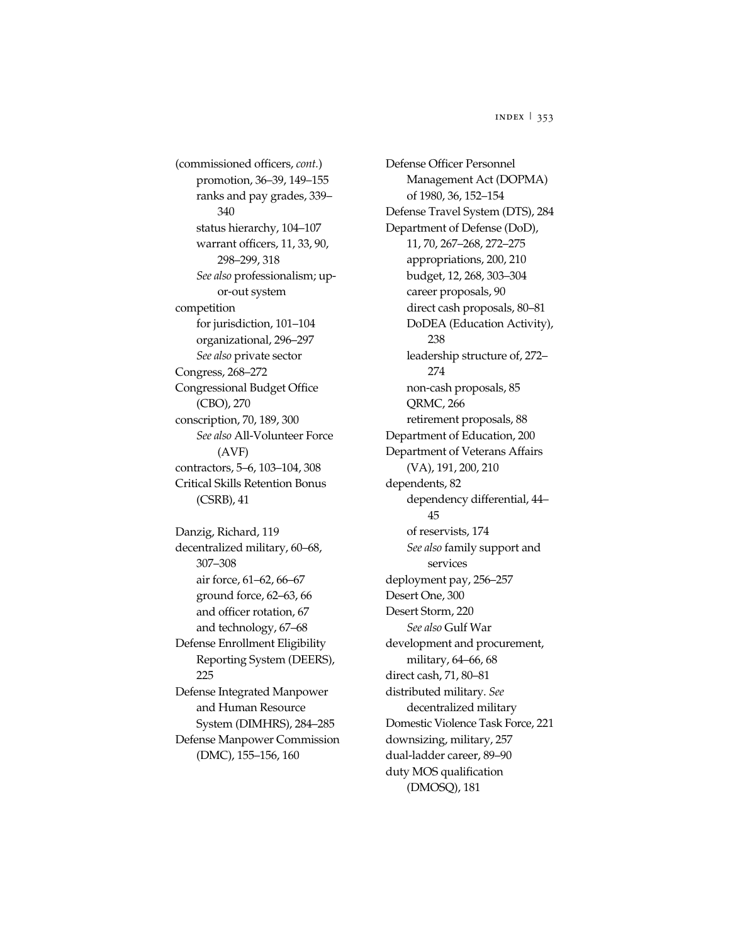(commissioned officers, cont.) promotion, 36-39, 149-155 ranks and pay grades, 339-340 status hierarchy, 104-107 warrant officers, 11, 33, 90, 298-299, 318 See also professionalism; upor-out system competition for jurisdiction, 101-104 organizational, 296-297 See also private sector Congress, 268-272 Congressional Budget Office (CBO), 270 conscription, 70, 189, 300 See also All-Volunteer Force  $(AVF)$ contractors, 5–6, 103–104, 308 Critical Skills Retention Bonus  $(CSRB)$ , 41 Danzig, Richard, 119 decentralized military, 60-68, 307-308 air force, 61-62, 66-67 ground force, 62-63, 66 and officer rotation, 67 and technology, 67-68 Defense Enrollment Eligibility Reporting System (DEERS), 225 Defense Integrated Manpower and Human Resource System (DIMHRS), 284-285 Defense Manpower Commission

(DMC), 155-156, 160

Defense Officer Personnel Management Act (DOPMA) of 1980, 36, 152-154 Defense Travel System (DTS), 284 Department of Defense (DoD), 11, 70, 267-268, 272-275 appropriations, 200, 210 budget, 12, 268, 303-304 career proposals, 90 direct cash proposals, 80-81 DoDEA (Education Activity), 238 leadership structure of, 272-274 non-cash proposals, 85 QRMC, 266 retirement proposals, 88 Department of Education, 200 Department of Veterans Affairs (VA), 191, 200, 210 dependents, 82 dependency differential, 44-45 of reservists, 174 See also family support and services deployment pay, 256-257 Desert One, 300 Desert Storm, 220 See also Gulf War development and procurement, military, 64–66, 68 direct cash, 71, 80-81 distributed military. See decentralized military Domestic Violence Task Force, 221 downsizing, military, 257 dual-ladder career, 89-90 duty MOS qualification (DMOSQ), 181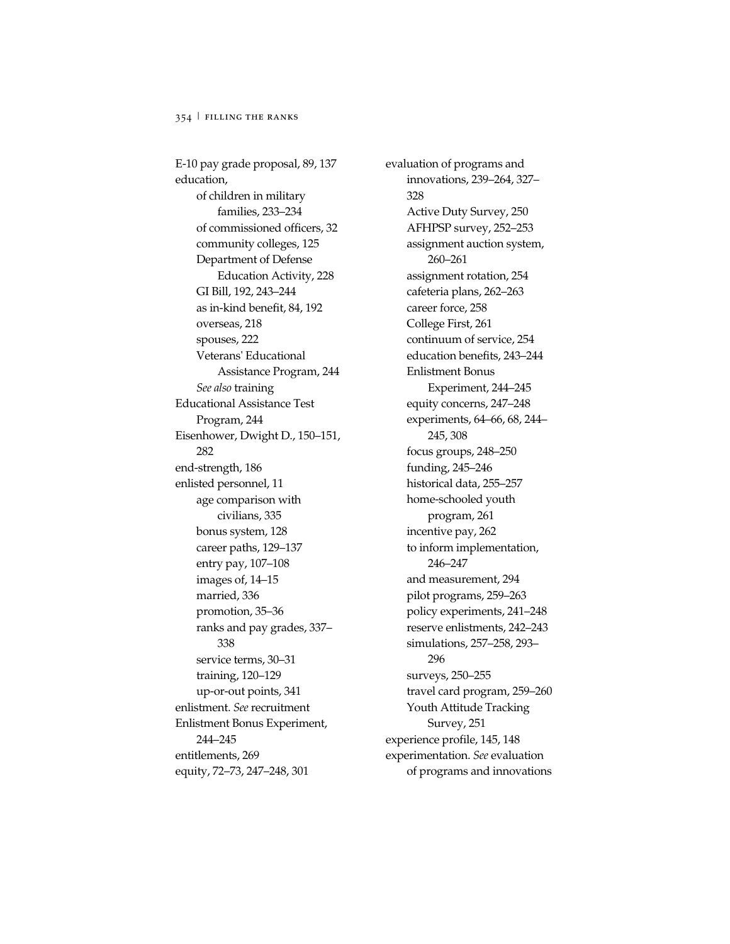E-10 pay grade proposal, 89, 137 education, of children in military families, 233–234 of commissioned officers, 32 community colleges, 125 Department of Defense Education Activity, 228 GI Bill, 192, 243–244 as in-kind benefit, 84, 192 overseas, 218 spouses, 222 Veterans' Educational Assistance Program, 244 *See also* training Educational Assistance Test Program, 244 Eisenhower, Dwight D., 150–151, 282 end-strength, 186 enlisted personnel, 11 age comparison with civilians, 335 bonus system, 128 career paths, 129–137 entry pay, 107–108 images of, 14–15 married, 336 promotion, 35–36 ranks and pay grades, 337– 338 service terms, 30–31 training, 120–129 up-or-out points, 341 enlistment. *See* recruitment Enlistment Bonus Experiment, 244–245 entitlements, 269 equity, 72–73, 247–248, 301

evaluation of programs and innovations, 239–264, 327– 328 Active Duty Survey, 250 AFHPSP survey, 252–253 assignment auction system, 260–261 assignment rotation, 254 cafeteria plans, 262–263 career force, 258 College First, 261 continuum of service, 254 education benefits, 243–244 Enlistment Bonus Experiment, 244–245 equity concerns, 247–248 experiments, 64–66, 68, 244– 245, 308 focus groups, 248–250 funding, 245–246 historical data, 255–257 home-schooled youth program, 261 incentive pay, 262 to inform implementation, 246–247 and measurement, 294 pilot programs, 259–263 policy experiments, 241–248 reserve enlistments, 242–243 simulations, 257–258, 293– 296 surveys, 250–255 travel card program, 259–260 Youth Attitude Tracking Survey, 251 experience profile, 145, 148 experimentation. *See* evaluation of programs and innovations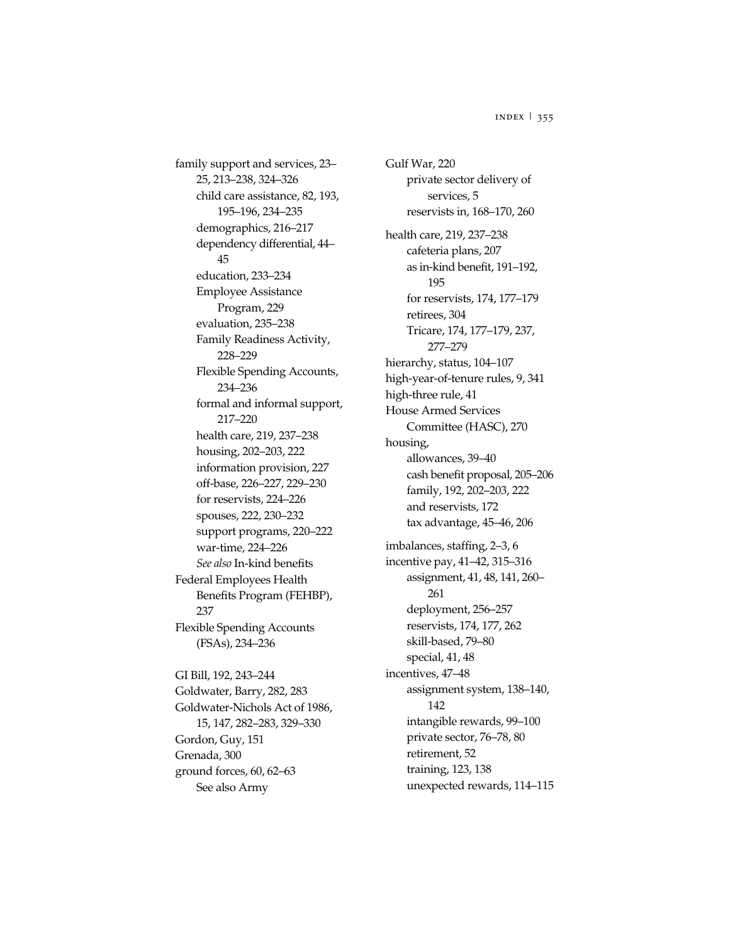family support and services, 23-25, 213-238, 324-326 child care assistance, 82, 193, 195-196, 234-235 demographics, 216-217 dependency differential, 44-45 education, 233-234 **Employee Assistance** Program, 229 evaluation, 235-238 Family Readiness Activity, 228-229 Flexible Spending Accounts, 234-236 formal and informal support, 217-220 health care, 219, 237-238 housing, 202-203, 222 information provision, 227 off-base, 226-227, 229-230 for reservists, 224-226 spouses, 222, 230-232 support programs, 220-222 war-time, 224-226 See also In-kind benefits Federal Employees Health Benefits Program (FEHBP), 237 **Flexible Spending Accounts** (FSAs), 234-236 GI Bill, 192, 243-244 Goldwater, Barry, 282, 283 Goldwater-Nichols Act of 1986, 15, 147, 282-283, 329-330

Gordon, Guy, 151 Grenada, 300 ground forces, 60, 62-63 See also Army

Gulf War, 220 private sector delivery of services, 5 reservists in, 168-170, 260 health care, 219, 237-238 cafeteria plans, 207 as in-kind benefit, 191-192, 195 for reservists, 174, 177-179 retirees, 304 Tricare, 174, 177-179, 237, 277-279 hierarchy, status, 104-107 high-year-of-tenure rules, 9, 341 high-three rule, 41 House Armed Services Committee (HASC), 270 housing, allowances, 39-40 cash benefit proposal, 205-206 family, 192, 202-203, 222 and reservists, 172 tax advantage, 45-46, 206 imbalances, staffing, 2-3, 6 incentive pay, 41-42, 315-316 assignment, 41, 48, 141, 260-261 deployment, 256-257 reservists, 174, 177, 262 skill-based, 79-80 special, 41, 48 incentives, 47-48 assignment system, 138-140, 142 intangible rewards, 99-100 private sector, 76-78, 80 retirement, 52 training, 123, 138 unexpected rewards, 114-115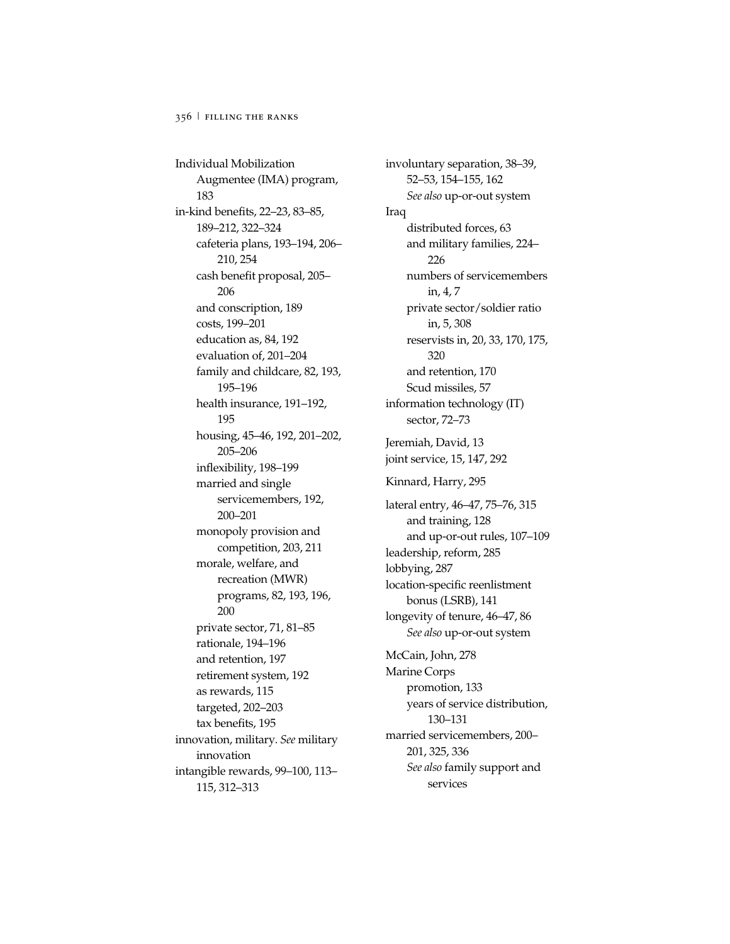## 356 FILLING THE RANKS

Individual Mobilization Augmentee (IMA) program, 183 in-kind benefits, 22–23, 83–85, 189–212, 322–324 cafeteria plans, 193–194, 206– 210, 254 cash benefit proposal, 205– 206 and conscription, 189 costs, 199–201 education as, 84, 192 evaluation of, 201–204 family and childcare, 82, 193, 195–196 health insurance, 191–192, 195 housing, 45–46, 192, 201–202, 205–206 inflexibility, 198–199 married and single servicemembers, 192, 200–201 monopoly provision and competition, 203, 211 morale, welfare, and recreation (MWR) programs, 82, 193, 196, 200 private sector, 71, 81–85 rationale, 194–196 and retention, 197 retirement system, 192 as rewards, 115 targeted, 202–203 tax benefits, 195 innovation, military. *See* military innovation intangible rewards, 99–100, 113– 115, 312–313

involuntary separation, 38–39, 52–53, 154–155, 162 *See also* up-or-out system Iraq distributed forces, 63 and military families, 224– 226 numbers of servicemembers in, 4, 7 private sector/soldier ratio in, 5, 308 reservists in, 20, 33, 170, 175, 320 and retention, 170 Scud missiles, 57 information technology (IT) sector, 72–73 Jeremiah, David, 13 joint service, 15, 147, 292 Kinnard, Harry, 295 lateral entry, 46–47, 75–76, 315 and training, 128 and up-or-out rules, 107–109 leadership, reform, 285 lobbying, 287 location-specific reenlistment bonus (LSRB), 141 longevity of tenure, 46–47, 86 *See also* up-or-out system McCain, John, 278 Marine Corps promotion, 133 years of service distribution, 130–131 married servicemembers, 200– 201, 325, 336 *See also* family support and services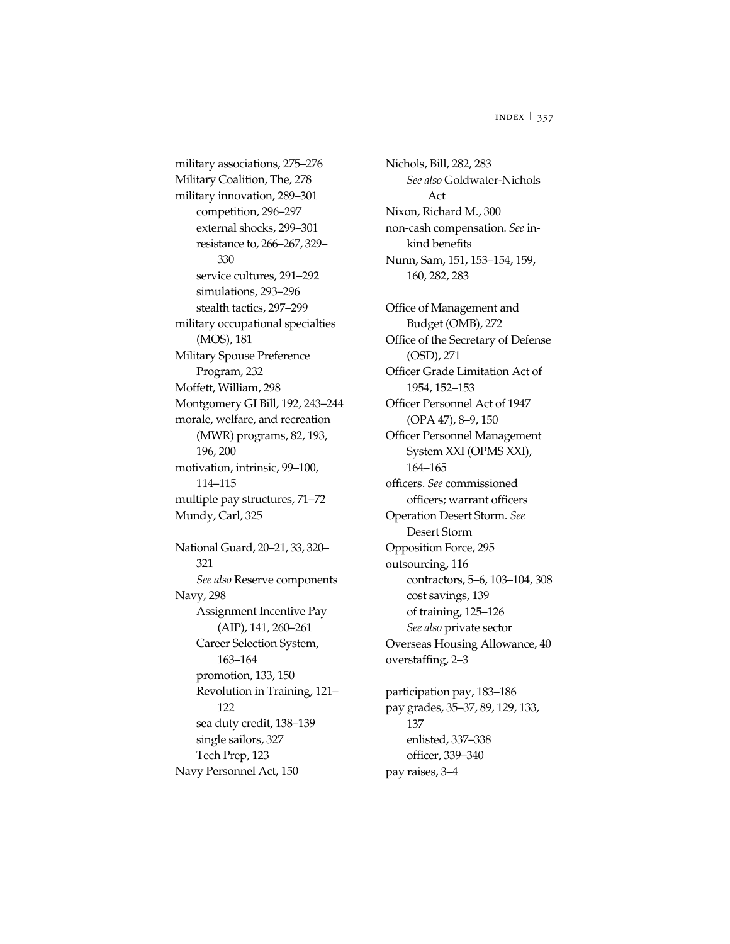INDEX  $\frac{1}{357}$ 

military associations, 275-276 Military Coalition, The, 278 military innovation, 289-301 competition, 296-297 external shocks, 299-301 resistance to, 266-267, 329-330 service cultures, 291-292 simulations, 293-296 stealth tactics, 297-299 military occupational specialties (MOS), 181 Military Spouse Preference Program, 232 Moffett, William, 298 Montgomery GI Bill, 192, 243-244 morale, welfare, and recreation (MWR) programs, 82, 193, 196, 200 motivation, intrinsic, 99-100, 114-115 multiple pay structures, 71-72 Mundy, Carl, 325 National Guard, 20-21, 33, 320-321 See also Reserve components Navy, 298 Assignment Incentive Pay  $(AIP)$ , 141, 260-261 Career Selection System, 163-164 promotion, 133, 150 Revolution in Training, 121-122 sea duty credit, 138-139 single sailors, 327 Tech Prep, 123 Navy Personnel Act, 150

non-cash compensation. See inkind benefits Nunn, Sam, 151, 153–154, 159, 160, 282, 283 Office of Management and Budget (OMB), 272 Office of the Secretary of Defense  $(OSD)$ , 271 Officer Grade Limitation Act of 1954, 152-153 Officer Personnel Act of 1947 (OPA 47), 8-9, 150 Officer Personnel Management System XXI (OPMS XXI), 164-165 officers. See commissioned officers; warrant officers Operation Desert Storm. See Desert Storm Opposition Force, 295 outsourcing, 116 contractors, 5-6, 103-104, 308 cost savings, 139 of training, 125-126 See also private sector Overseas Housing Allowance, 40 overstaffing, 2-3

Nichols, Bill, 282, 283

Act

Nixon, Richard M., 300

See also Goldwater-Nichols

participation pay, 183-186 pay grades, 35-37, 89, 129, 133, 137 enlisted, 337-338 officer, 339-340 pay raises, 3-4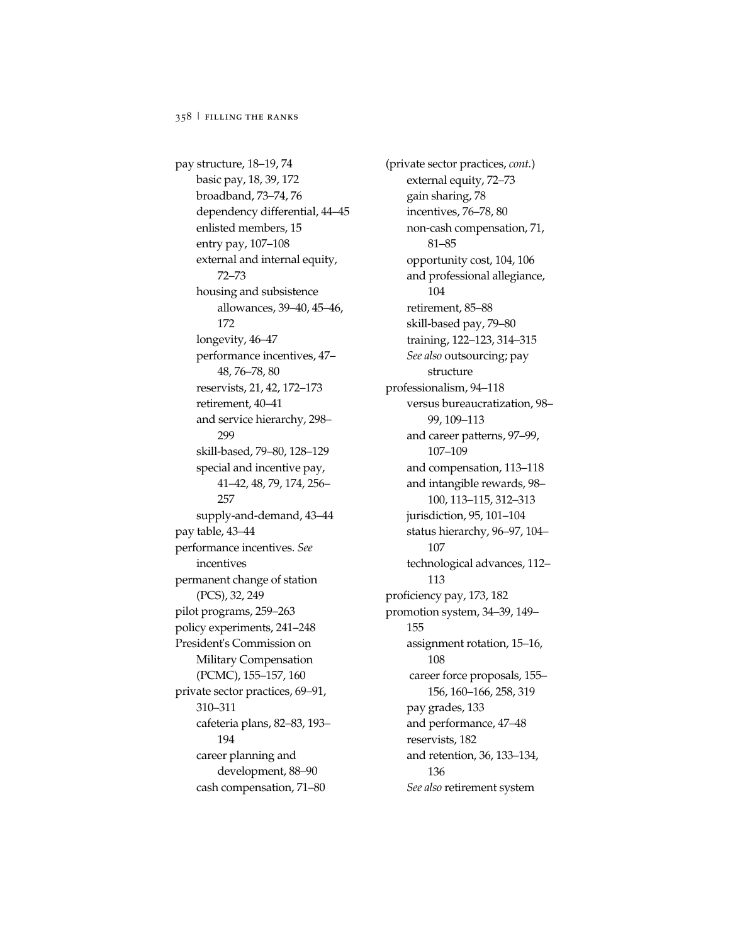pay structure, 18–19, 74 basic pay, 18, 39, 172 broadband, 73–74, 76 dependency differential, 44–45 enlisted members, 15 entry pay, 107–108 external and internal equity, 72–73 housing and subsistence allowances, 39–40, 45–46, 172 longevity, 46–47 performance incentives, 47– 48, 76–78, 80 reservists, 21, 42, 172–173 retirement, 40–41 and service hierarchy, 298– 299 skill-based, 79–80, 128–129 special and incentive pay, 41–42, 48, 79, 174, 256– 257 supply-and-demand, 43–44 pay table, 43–44 performance incentives. *See* incentives permanent change of station (PCS), 32, 249 pilot programs, 259–263 policy experiments, 241–248 President's Commission on Military Compensation (PCMC), 155–157, 160 private sector practices, 69–91, 310–311 cafeteria plans, 82–83, 193– 194 career planning and development, 88–90 cash compensation, 71–80

(private sector practices, *cont.*) external equity, 72–73 gain sharing, 78 incentives, 76–78, 80 non-cash compensation, 71, 81–85 opportunity cost, 104, 106 and professional allegiance, 104 retirement, 85–88 skill-based pay, 79–80 training, 122–123, 314–315 *See also* outsourcing; pay structure professionalism, 94–118 versus bureaucratization, 98– 99, 109–113 and career patterns, 97–99, 107–109 and compensation, 113–118 and intangible rewards, 98– 100, 113–115, 312–313 jurisdiction, 95, 101–104 status hierarchy, 96–97, 104– 107 technological advances, 112– 113 proficiency pay, 173, 182 promotion system, 34–39, 149– 155 assignment rotation, 15–16, 108 career force proposals, 155– 156, 160–166, 258, 319 pay grades, 133 and performance, 47–48 reservists, 182 and retention, 36, 133–134, 136 *See also* retirement system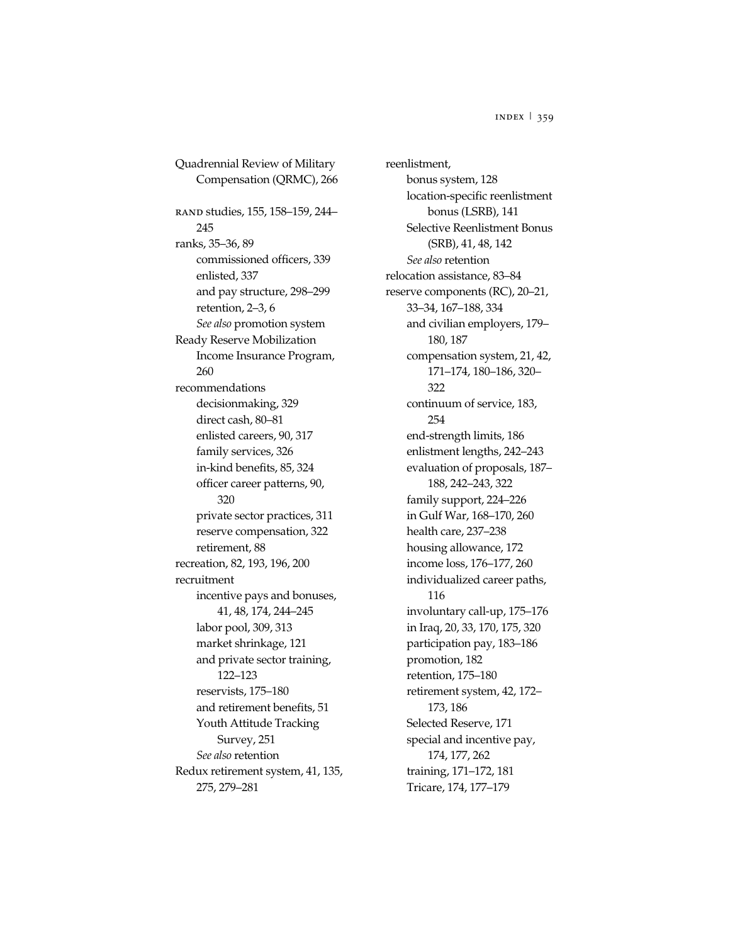reenlistment,

Quadrennial Review of Military Compensation (QRMC), 266 RAND studies, 155, 158-159, 244-245 ranks, 35-36, 89 commissioned officers, 339 enlisted, 337 and pay structure, 298–299 retention, 2-3, 6 See also promotion system Ready Reserve Mobilization Income Insurance Program, 260 recommendations decisionmaking, 329 direct cash, 80-81 enlisted careers, 90, 317 family services, 326 in-kind benefits, 85, 324 officer career patterns, 90, 320 private sector practices, 311 reserve compensation, 322 retirement, 88 recreation, 82, 193, 196, 200 recruitment incentive pays and bonuses, 41, 48, 174, 244-245 labor pool, 309, 313 market shrinkage, 121 and private sector training,  $122 - 123$ reservists, 175-180 and retirement benefits, 51 Youth Attitude Tracking Survey, 251 See also retention Redux retirement system, 41, 135, 275, 279-281

bonus system, 128 location-specific reenlistment bonus (LSRB), 141 Selective Reenlistment Bonus (SRB), 41, 48, 142 See also retention relocation assistance, 83-84 reserve components (RC), 20-21, 33-34, 167-188, 334 and civilian employers, 179-180, 187 compensation system, 21, 42, 171-174, 180-186, 320-322 continuum of service, 183, 254 end-strength limits, 186 enlistment lengths, 242-243 evaluation of proposals, 187-188, 242-243, 322 family support, 224-226 in Gulf War, 168–170, 260 health care, 237-238 housing allowance, 172 income loss, 176-177, 260 individualized career paths, 116 involuntary call-up, 175-176 in Iraq, 20, 33, 170, 175, 320 participation pay, 183-186 promotion, 182 retention, 175-180 retirement system, 42, 172-173, 186 Selected Reserve, 171 special and incentive pay, 174, 177, 262 training, 171-172, 181 Tricare, 174, 177-179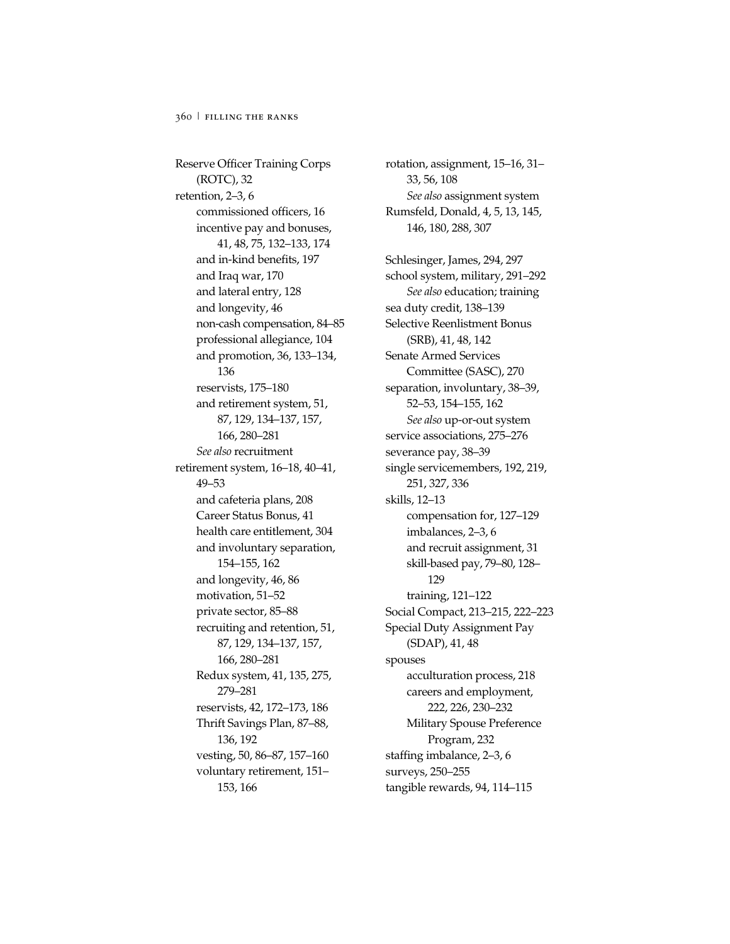Reserve Officer Training Corps (ROTC), 32 retention, 2–3, 6 commissioned officers, 16 incentive pay and bonuses, 41, 48, 75, 132–133, 174 and in-kind benefits, 197 and Iraq war, 170 and lateral entry, 128 and longevity, 46 non-cash compensation, 84–85 professional allegiance, 104 and promotion, 36, 133–134, 136 reservists, 175–180 and retirement system, 51, 87, 129, 134–137, 157, 166, 280–281 *See also* recruitment retirement system, 16–18, 40–41, 49–53 and cafeteria plans, 208 Career Status Bonus, 41 health care entitlement, 304 and involuntary separation, 154–155, 162 and longevity, 46, 86 motivation, 51–52 private sector, 85–88 recruiting and retention, 51, 87, 129, 134–137, 157, 166, 280–281 Redux system, 41, 135, 275, 279–281 reservists, 42, 172–173, 186 Thrift Savings Plan, 87–88, 136, 192 vesting, 50, 86–87, 157–160 voluntary retirement, 151– 153, 166

rotation, assignment, 15–16, 31– 33, 56, 108 *See also* assignment system Rumsfeld, Donald, 4, 5, 13, 145, 146, 180, 288, 307 Schlesinger, James, 294, 297 school system, military, 291–292 *See also* education; training sea duty credit, 138–139 Selective Reenlistment Bonus (SRB), 41, 48, 142 Senate Armed Services Committee (SASC), 270 separation, involuntary, 38–39, 52–53, 154–155, 162 *See also* up-or-out system service associations, 275–276 severance pay, 38–39 single servicemembers, 192, 219, 251, 327, 336 skills, 12–13 compensation for, 127–129 imbalances, 2–3, 6 and recruit assignment, 31 skill-based pay, 79–80, 128– 129 training, 121–122 Social Compact, 213–215, 222–223 Special Duty Assignment Pay (SDAP), 41, 48 spouses acculturation process, 218 careers and employment, 222, 226, 230–232 Military Spouse Preference Program, 232 staffing imbalance, 2–3, 6 surveys, 250–255 tangible rewards, 94, 114–115